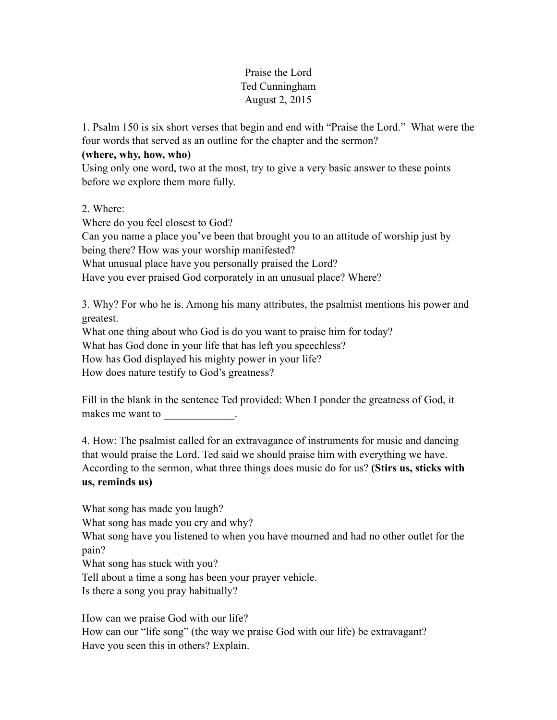## Praise the Lord Ted Cunningham August 2, 2015

1. Psalm 150 is six short verses that begin and end with "Praise the Lord." What were the four words that served as an outline for the chapter and the sermon?

## **(where, why, how, who)**

Using only one word, two at the most, try to give a very basic answer to these points before we explore them more fully.

2. Where:

Where do you feel closest to God?

Can you name a place you've been that brought you to an attitude of worship just by being there? How was your worship manifested? What unusual place have you personally praised the Lord?

Have you ever praised God corporately in an unusual place? Where?

3. Why? For who he is. Among his many attributes, the psalmist mentions his power and greatest.

What one thing about who God is do you want to praise him for today?

What has God done in your life that has left you speechless?

How has God displayed his mighty power in your life?

How does nature testify to God's greatness?

Fill in the blank in the sentence Ted provided: When I ponder the greatness of God, it makes me want to

4. How: The psalmist called for an extravagance of instruments for music and dancing that would praise the Lord. Ted said we should praise him with everything we have. According to the sermon, what three things does music do for us? **(Stirs us, sticks with us, reminds us)** 

What song has made you laugh? What song has made you cry and why? What song have you listened to when you have mourned and had no other outlet for the pain? What song has stuck with you? Tell about a time a song has been your prayer vehicle. Is there a song you pray habitually?

How can we praise God with our life? How can our "life song" (the way we praise God with our life) be extravagant? Have you seen this in others? Explain.